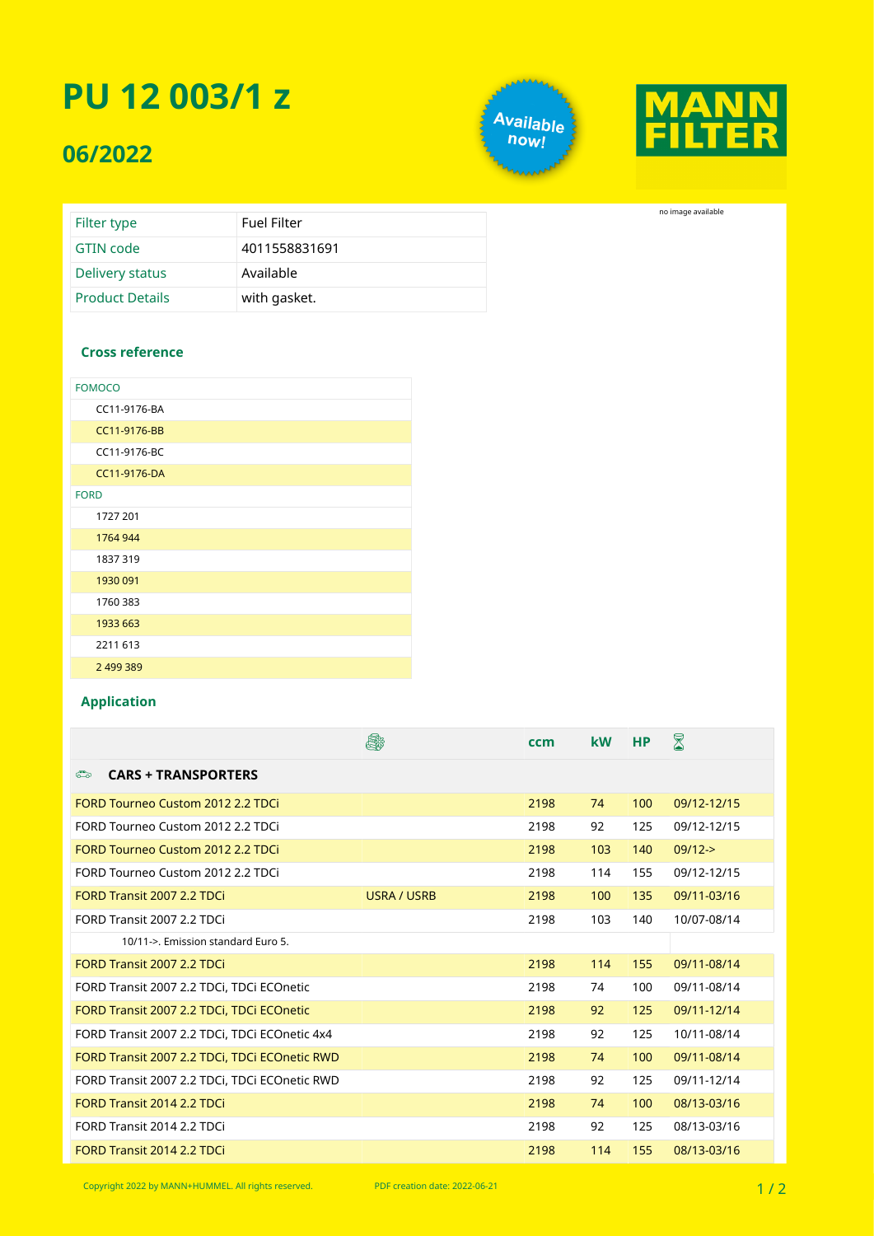## **PU 12 003/1 z**

### **06/2022**





no image available

| Filter type            | <b>Fuel Filter</b> |
|------------------------|--------------------|
| GTIN code              | 4011558831691      |
| Delivery status        | Available          |
| <b>Product Details</b> | with gasket.       |

#### **Cross reference**

| <b>FOMOCO</b> |  |
|---------------|--|
| CC11-9176-BA  |  |
| CC11-9176-BB  |  |
| CC11-9176-BC  |  |
| CC11-9176-DA  |  |
| <b>FORD</b>   |  |
| 1727 201      |  |
| 1764 944      |  |
| 1837 319      |  |
| 1930 091      |  |
| 1760 383      |  |
| 1933 663      |  |
| 2211 613      |  |
| 2 499 389     |  |

#### **Application**

|                                                | é.                 | ccm  | <b>kW</b> | <b>HP</b> | $\boxtimes$ |
|------------------------------------------------|--------------------|------|-----------|-----------|-------------|
| $\sum_{i=1}^{n}$<br><b>CARS + TRANSPORTERS</b> |                    |      |           |           |             |
| <b>FORD Tourneo Custom 2012 2.2 TDCi</b>       |                    | 2198 | 74        | 100       | 09/12-12/15 |
| FORD Tourneo Custom 2012 2.2 TDCi              |                    | 2198 | 92        | 125       | 09/12-12/15 |
| FORD Tourneo Custom 2012 2.2 TDCi              |                    | 2198 | 103       | 140       | $09/12 -$   |
| FORD Tourneo Custom 2012 2.2 TDCi              |                    | 2198 | 114       | 155       | 09/12-12/15 |
| <b>FORD Transit 2007 2.2 TDCi</b>              | <b>USRA / USRB</b> | 2198 | 100       | 135       | 09/11-03/16 |
| FORD Transit 2007 2.2 TDCi                     |                    | 2198 | 103       | 140       | 10/07-08/14 |
| 10/11->. Emission standard Euro 5.             |                    |      |           |           |             |
| <b>FORD Transit 2007 2.2 TDCi</b>              |                    | 2198 | 114       | 155       | 09/11-08/14 |
| FORD Transit 2007 2.2 TDCi, TDCi ECOnetic      |                    | 2198 | 74        | 100       | 09/11-08/14 |
| FORD Transit 2007 2.2 TDCi, TDCi ECOnetic      |                    | 2198 | 92        | 125       | 09/11-12/14 |
| FORD Transit 2007 2.2 TDCi, TDCi ECOnetic 4x4  |                    | 2198 | 92        | 125       | 10/11-08/14 |
| FORD Transit 2007 2.2 TDCi, TDCi ECOnetic RWD  |                    | 2198 | 74        | 100       | 09/11-08/14 |
| FORD Transit 2007 2.2 TDCi, TDCi ECOnetic RWD  |                    | 2198 | 92        | 125       | 09/11-12/14 |
| <b>FORD Transit 2014 2.2 TDCi</b>              |                    | 2198 | 74        | 100       | 08/13-03/16 |
| FORD Transit 2014 2.2 TDCi                     |                    | 2198 | 92        | 125       | 08/13-03/16 |
| FORD Transit 2014 2.2 TDCi                     |                    | 2198 | 114       | 155       | 08/13-03/16 |